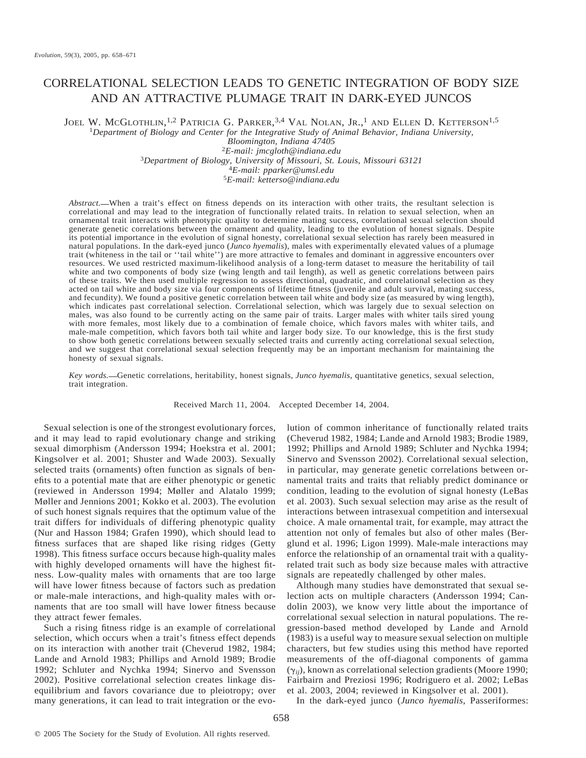# CORRELATIONAL SELECTION LEADS TO GENETIC INTEGRATION OF BODY SIZE AND AN ATTRACTIVE PLUMAGE TRAIT IN DARK-EYED JUNCOS

JOEL W. MCGLOTHLIN,<sup>1,2</sup> PATRICIA G. PARKER,<sup>3,4</sup> VAL NOLAN, JR.,<sup>1</sup> AND ELLEN D. KETTERSON<sup>1,5</sup>

<sup>1</sup>*Department of Biology and Center for the Integrative Study of Animal Behavior, Indiana University,*

*Bloomington, Indiana 47405*

<sup>2</sup>*E-mail: jmcgloth@indiana.edu* <sup>3</sup>*Department of Biology, University of Missouri, St. Louis, Missouri 63121* <sup>4</sup>*E-mail: pparker@umsl.edu* <sup>5</sup>*E-mail: ketterso@indiana.edu*

*Abstract.* When a trait's effect on fitness depends on its interaction with other traits, the resultant selection is correlational and may lead to the integration of functionally related traits. In relation to sexual selection, when an ornamental trait interacts with phenotypic quality to determine mating success, correlational sexual selection should generate genetic correlations between the ornament and quality, leading to the evolution of honest signals. Despite its potential importance in the evolution of signal honesty, correlational sexual selection has rarely been measured in natural populations. In the dark-eyed junco (*Junco hyemalis*), males with experimentally elevated values of a plumage trait (whiteness in the tail or ''tail white'') are more attractive to females and dominant in aggressive encounters over resources. We used restricted maximum-likelihood analysis of a long-term dataset to measure the heritability of tail white and two components of body size (wing length and tail length), as well as genetic correlations between pairs of these traits. We then used multiple regression to assess directional, quadratic, and correlational selection as they acted on tail white and body size via four components of lifetime fitness (juvenile and adult survival, mating success, and fecundity). We found a positive genetic correlation between tail white and body size (as measured by wing length), which indicates past correlational selection. Correlational selection, which was largely due to sexual selection on males, was also found to be currently acting on the same pair of traits. Larger males with whiter tails sired young with more females, most likely due to a combination of female choice, which favors males with whiter tails, and male-male competition, which favors both tail white and larger body size. To our knowledge, this is the first study to show both genetic correlations between sexually selected traits and currently acting correlational sexual selection, and we suggest that correlational sexual selection frequently may be an important mechanism for maintaining the honesty of sexual signals.

*Key words.* Genetic correlations, heritability, honest signals, *Junco hyemalis*, quantitative genetics, sexual selection, trait integration.

Received March 11, 2004. Accepted December 14, 2004.

Sexual selection is one of the strongest evolutionary forces, and it may lead to rapid evolutionary change and striking sexual dimorphism (Andersson 1994; Hoekstra et al. 2001; Kingsolver et al. 2001; Shuster and Wade 2003). Sexually selected traits (ornaments) often function as signals of benefits to a potential mate that are either phenotypic or genetic (reviewed in Andersson 1994; Møller and Alatalo 1999; Møller and Jennions 2001; Kokko et al. 2003). The evolution of such honest signals requires that the optimum value of the trait differs for individuals of differing phenotypic quality (Nur and Hasson 1984; Grafen 1990), which should lead to fitness surfaces that are shaped like rising ridges (Getty 1998). This fitness surface occurs because high-quality males with highly developed ornaments will have the highest fitness. Low-quality males with ornaments that are too large will have lower fitness because of factors such as predation or male-male interactions, and high-quality males with ornaments that are too small will have lower fitness because they attract fewer females.

Such a rising fitness ridge is an example of correlational selection, which occurs when a trait's fitness effect depends on its interaction with another trait (Cheverud 1982, 1984; Lande and Arnold 1983; Phillips and Arnold 1989; Brodie 1992; Schluter and Nychka 1994; Sinervo and Svensson 2002). Positive correlational selection creates linkage disequilibrium and favors covariance due to pleiotropy; over many generations, it can lead to trait integration or the evolution of common inheritance of functionally related traits (Cheverud 1982, 1984; Lande and Arnold 1983; Brodie 1989, 1992; Phillips and Arnold 1989; Schluter and Nychka 1994; Sinervo and Svensson 2002). Correlational sexual selection, in particular, may generate genetic correlations between ornamental traits and traits that reliably predict dominance or condition, leading to the evolution of signal honesty (LeBas et al. 2003). Such sexual selection may arise as the result of interactions between intrasexual competition and intersexual choice. A male ornamental trait, for example, may attract the attention not only of females but also of other males (Berglund et al. 1996; Ligon 1999). Male-male interactions may enforce the relationship of an ornamental trait with a qualityrelated trait such as body size because males with attractive signals are repeatedly challenged by other males.

Although many studies have demonstrated that sexual selection acts on multiple characters (Andersson 1994; Candolin 2003), we know very little about the importance of correlational sexual selection in natural populations. The regression-based method developed by Lande and Arnold (1983) is a useful way to measure sexual selection on multiple characters, but few studies using this method have reported measurements of the off-diagonal components of gamma  $(\gamma_{ii})$ , known as correlational selection gradients (Moore 1990; Fairbairn and Preziosi 1996; Rodriguero et al. 2002; LeBas et al. 2003, 2004; reviewed in Kingsolver et al. 2001).

In the dark-eyed junco (*Junco hyemalis*, Passeriformes: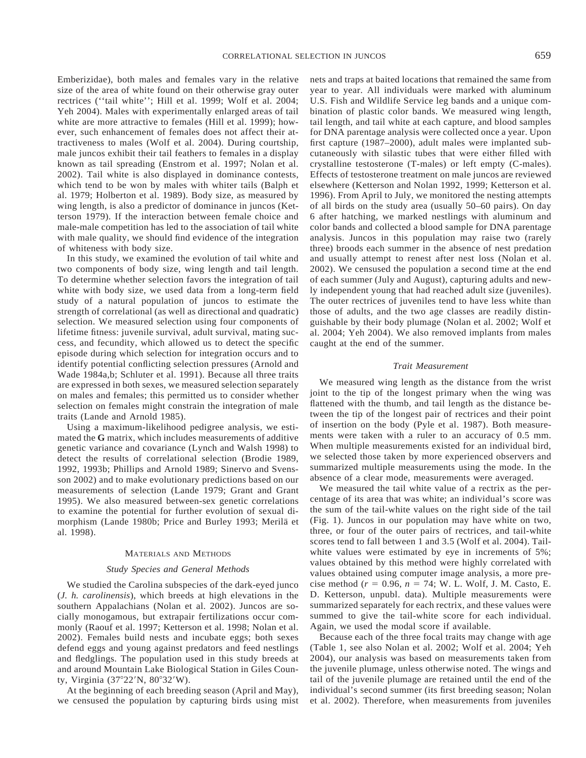Emberizidae), both males and females vary in the relative size of the area of white found on their otherwise gray outer rectrices (''tail white''; Hill et al. 1999; Wolf et al. 2004; Yeh 2004). Males with experimentally enlarged areas of tail white are more attractive to females (Hill et al. 1999); however, such enhancement of females does not affect their attractiveness to males (Wolf et al. 2004). During courtship, male juncos exhibit their tail feathers to females in a display known as tail spreading (Enstrom et al. 1997; Nolan et al. 2002). Tail white is also displayed in dominance contests, which tend to be won by males with whiter tails (Balph et al. 1979; Holberton et al. 1989). Body size, as measured by wing length, is also a predictor of dominance in juncos (Ketterson 1979). If the interaction between female choice and male-male competition has led to the association of tail white with male quality, we should find evidence of the integration of whiteness with body size.

In this study, we examined the evolution of tail white and two components of body size, wing length and tail length. To determine whether selection favors the integration of tail white with body size, we used data from a long-term field study of a natural population of juncos to estimate the strength of correlational (as well as directional and quadratic) selection. We measured selection using four components of lifetime fitness: juvenile survival, adult survival, mating success, and fecundity, which allowed us to detect the specific episode during which selection for integration occurs and to identify potential conflicting selection pressures (Arnold and Wade 1984a,b; Schluter et al. 1991). Because all three traits are expressed in both sexes, we measured selection separately on males and females; this permitted us to consider whether selection on females might constrain the integration of male traits (Lande and Arnold 1985).

Using a maximum-likelihood pedigree analysis, we estimated the **G** matrix, which includes measurements of additive genetic variance and covariance (Lynch and Walsh 1998) to detect the results of correlational selection (Brodie 1989, 1992, 1993b; Phillips and Arnold 1989; Sinervo and Svensson 2002) and to make evolutionary predictions based on our measurements of selection (Lande 1979; Grant and Grant 1995). We also measured between-sex genetic correlations to examine the potential for further evolution of sexual dimorphism (Lande 1980b; Price and Burley 1993; Merilä et al. 1998).

### MATERIALS AND METHODS

## *Study Species and General Methods*

We studied the Carolina subspecies of the dark-eyed junco (*J. h. carolinensis*), which breeds at high elevations in the southern Appalachians (Nolan et al. 2002). Juncos are socially monogamous, but extrapair fertilizations occur commonly (Raouf et al. 1997; Ketterson et al. 1998; Nolan et al. 2002). Females build nests and incubate eggs; both sexes defend eggs and young against predators and feed nestlings and fledglings. The population used in this study breeds at and around Mountain Lake Biological Station in Giles County, Virginia (37°22'N, 80°32'W).

At the beginning of each breeding season (April and May), we censused the population by capturing birds using mist nets and traps at baited locations that remained the same from year to year. All individuals were marked with aluminum U.S. Fish and Wildlife Service leg bands and a unique combination of plastic color bands. We measured wing length, tail length, and tail white at each capture, and blood samples for DNA parentage analysis were collected once a year. Upon first capture (1987–2000), adult males were implanted subcutaneously with silastic tubes that were either filled with crystalline testosterone (T-males) or left empty (C-males). Effects of testosterone treatment on male juncos are reviewed elsewhere (Ketterson and Nolan 1992, 1999; Ketterson et al. 1996). From April to July, we monitored the nesting attempts of all birds on the study area (usually 50–60 pairs). On day 6 after hatching, we marked nestlings with aluminum and color bands and collected a blood sample for DNA parentage analysis. Juncos in this population may raise two (rarely three) broods each summer in the absence of nest predation and usually attempt to renest after nest loss (Nolan et al. 2002). We censused the population a second time at the end of each summer (July and August), capturing adults and newly independent young that had reached adult size (juveniles). The outer rectrices of juveniles tend to have less white than those of adults, and the two age classes are readily distinguishable by their body plumage (Nolan et al. 2002; Wolf et al. 2004; Yeh 2004). We also removed implants from males caught at the end of the summer.

#### *Trait Measurement*

We measured wing length as the distance from the wrist joint to the tip of the longest primary when the wing was flattened with the thumb, and tail length as the distance between the tip of the longest pair of rectrices and their point of insertion on the body (Pyle et al. 1987). Both measurements were taken with a ruler to an accuracy of 0.5 mm. When multiple measurements existed for an individual bird, we selected those taken by more experienced observers and summarized multiple measurements using the mode. In the absence of a clear mode, measurements were averaged.

We measured the tail white value of a rectrix as the percentage of its area that was white; an individual's score was the sum of the tail-white values on the right side of the tail (Fig. 1). Juncos in our population may have white on two, three, or four of the outer pairs of rectrices, and tail-white scores tend to fall between 1 and 3.5 (Wolf et al. 2004). Tailwhite values were estimated by eye in increments of 5%; values obtained by this method were highly correlated with values obtained using computer image analysis, a more precise method ( $r = 0.96$ ,  $n = 74$ ; W. L. Wolf, J. M. Casto, E. D. Ketterson, unpubl. data). Multiple measurements were summarized separately for each rectrix, and these values were summed to give the tail-white score for each individual. Again, we used the modal score if available.

Because each of the three focal traits may change with age (Table 1, see also Nolan et al. 2002; Wolf et al. 2004; Yeh 2004), our analysis was based on measurements taken from the juvenile plumage, unless otherwise noted. The wings and tail of the juvenile plumage are retained until the end of the individual's second summer (its first breeding season; Nolan et al. 2002). Therefore, when measurements from juveniles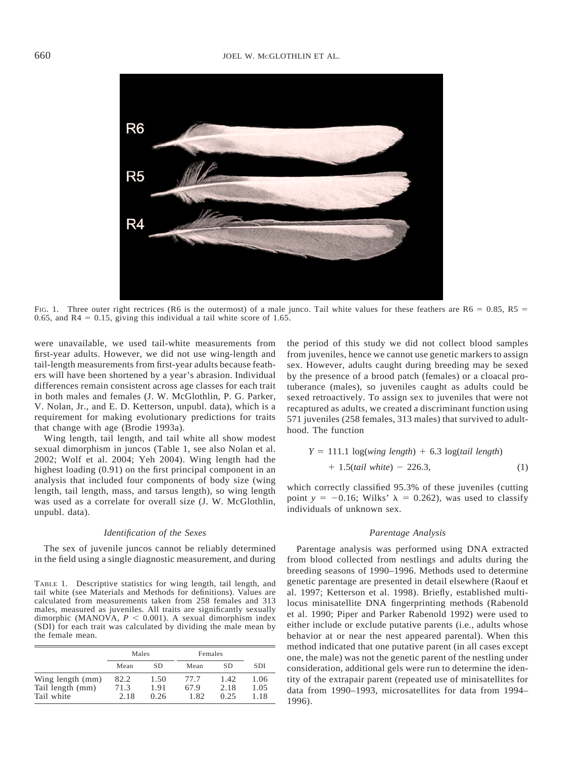

FIG. 1. Three outer right rectrices (R6 is the outermost) of a male junco. Tail white values for these feathers are R6 = 0.85, R5 = 0.65, and  $R4 = 0.15$ , giving this individual a tail white score of 1.65.

were unavailable, we used tail-white measurements from first-year adults. However, we did not use wing-length and tail-length measurements from first-year adults because feathers will have been shortened by a year's abrasion. Individual differences remain consistent across age classes for each trait in both males and females (J. W. McGlothlin, P. G. Parker, V. Nolan, Jr., and E. D. Ketterson, unpubl. data), which is a requirement for making evolutionary predictions for traits that change with age (Brodie 1993a).

Wing length, tail length, and tail white all show modest sexual dimorphism in juncos (Table 1, see also Nolan et al. 2002; Wolf et al. 2004; Yeh 2004). Wing length had the highest loading  $(0.91)$  on the first principal component in an analysis that included four components of body size (wing length, tail length, mass, and tarsus length), so wing length was used as a correlate for overall size (J. W. McGlothlin, unpubl. data).

## *Identification of the Sexes*

The sex of juvenile juncos cannot be reliably determined in the field using a single diagnostic measurement, and during

TABLE 1. Descriptive statistics for wing length, tail length, and tail white (see Materials and Methods for definitions). Values are calculated from measurements taken from 258 females and 313 males, measured as juveniles. All traits are significantly sexually dimorphic (MANOVA,  $P < 0.001$ ). A sexual dimorphism index (SDI) for each trait was calculated by dividing the male mean by the female mean.

|                                                    | Males                |                      |                      | Females              |                      |
|----------------------------------------------------|----------------------|----------------------|----------------------|----------------------|----------------------|
|                                                    | Mean                 | SD                   | Mean                 | SD                   | SDI                  |
| Wing length (mm)<br>Tail length (mm)<br>Tail white | 82.2<br>71.3<br>2.18 | 1.50<br>1.91<br>0.26 | 77.7<br>67.9<br>1.82 | 1.42<br>2.18<br>0.25 | 1.06<br>1.05<br>1.18 |

the period of this study we did not collect blood samples from juveniles, hence we cannot use genetic markers to assign sex. However, adults caught during breeding may be sexed by the presence of a brood patch (females) or a cloacal protuberance (males), so juveniles caught as adults could be sexed retroactively. To assign sex to juveniles that were not recaptured as adults, we created a discriminant function using 571 juveniles (258 females, 313 males) that survived to adulthood. The function

$$
Y = 111.1 \log(wing length) + 6.3 \log(tail length)
$$

$$
+ 1.5(tail white) - 226.3,
$$
 (1)

which correctly classified 95.3% of these juveniles (cutting point  $y = -0.16$ ; Wilks'  $\lambda = 0.262$ ), was used to classify individuals of unknown sex.

#### *Parentage Analysis*

Parentage analysis was performed using DNA extracted from blood collected from nestlings and adults during the breeding seasons of 1990–1996. Methods used to determine genetic parentage are presented in detail elsewhere (Raouf et al. 1997; Ketterson et al. 1998). Briefly, established multilocus minisatellite DNA fingerprinting methods (Rabenold et al. 1990; Piper and Parker Rabenold 1992) were used to either include or exclude putative parents (i.e., adults whose behavior at or near the nest appeared parental). When this method indicated that one putative parent (in all cases except one, the male) was not the genetic parent of the nestling under consideration, additional gels were run to determine the identity of the extrapair parent (repeated use of minisatellites for data from 1990–1993, microsatellites for data from 1994– 1996).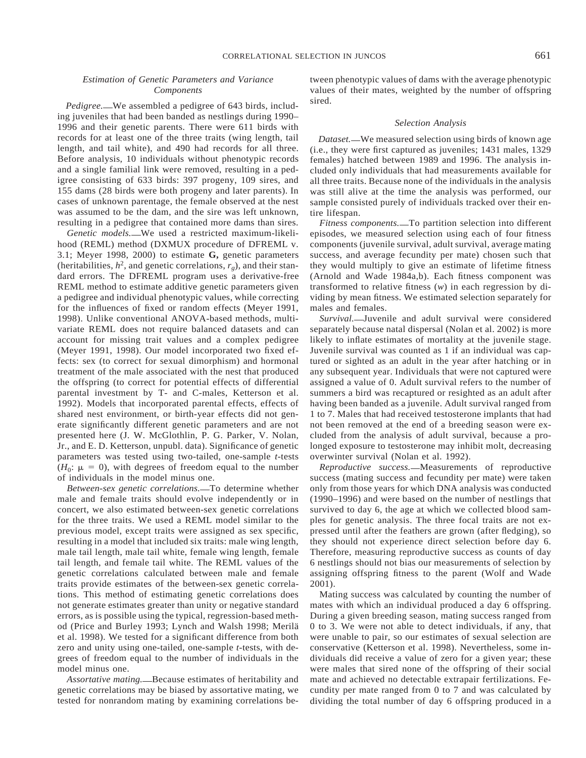## *Estimation of Genetic Parameters and Variance Components*

*Pedigree.* We assembled a pedigree of 643 birds, including juveniles that had been banded as nestlings during 1990– 1996 and their genetic parents. There were 611 birds with records for at least one of the three traits (wing length, tail length, and tail white), and 490 had records for all three. Before analysis, 10 individuals without phenotypic records and a single familial link were removed, resulting in a pedigree consisting of 633 birds: 397 progeny, 109 sires, and 155 dams (28 birds were both progeny and later parents). In cases of unknown parentage, the female observed at the nest was assumed to be the dam, and the sire was left unknown, resulting in a pedigree that contained more dams than sires.

*Genetic models.* We used a restricted maximum-likelihood (REML) method (DXMUX procedure of DFREML v. 3.1; Meyer 1998, 2000) to estimate **G,** genetic parameters (heritabilities,  $h^2$ , and genetic correlations,  $r_g$ ), and their standard errors. The DFREML program uses a derivative-free REML method to estimate additive genetic parameters given a pedigree and individual phenotypic values, while correcting for the influences of fixed or random effects (Meyer 1991, 1998). Unlike conventional ANOVA-based methods, multivariate REML does not require balanced datasets and can account for missing trait values and a complex pedigree (Meyer 1991, 1998). Our model incorporated two fixed effects: sex (to correct for sexual dimorphism) and hormonal treatment of the male associated with the nest that produced the offspring (to correct for potential effects of differential parental investment by T- and C-males, Ketterson et al. 1992). Models that incorporated parental effects, effects of shared nest environment, or birth-year effects did not generate significantly different genetic parameters and are not presented here (J. W. McGlothlin, P. G. Parker, V. Nolan, Jr., and E. D. Ketterson, unpubl. data). Significance of genetic parameters was tested using two-tailed, one-sample *t*-tests ( $H_0$ :  $\mu = 0$ ), with degrees of freedom equal to the number of individuals in the model minus one.

*Between-sex genetic correlations.* To determine whether male and female traits should evolve independently or in concert, we also estimated between-sex genetic correlations for the three traits. We used a REML model similar to the previous model, except traits were assigned as sex specific, resulting in a model that included six traits: male wing length, male tail length, male tail white, female wing length, female tail length, and female tail white. The REML values of the genetic correlations calculated between male and female traits provide estimates of the between-sex genetic correlations. This method of estimating genetic correlations does not generate estimates greater than unity or negative standard errors, as is possible using the typical, regression-based method (Price and Burley 1993; Lynch and Walsh 1998; Merilä et al. 1998). We tested for a significant difference from both zero and unity using one-tailed, one-sample *t*-tests, with degrees of freedom equal to the number of individuals in the model minus one.

Assortative mating.**-**Because estimates of heritability and genetic correlations may be biased by assortative mating, we tested for nonrandom mating by examining correlations between phenotypic values of dams with the average phenotypic values of their mates, weighted by the number of offspring sired.

#### *Selection Analysis*

*Dataset.* We measured selection using birds of known age (i.e., they were first captured as juveniles; 1431 males, 1329 females) hatched between 1989 and 1996. The analysis included only individuals that had measurements available for all three traits. Because none of the individuals in the analysis was still alive at the time the analysis was performed, our sample consisted purely of individuals tracked over their entire lifespan.

*Fitness components.*—To partition selection into different episodes, we measured selection using each of four fitness components (juvenile survival, adult survival, average mating success, and average fecundity per mate) chosen such that they would multiply to give an estimate of lifetime fitness (Arnold and Wade 1984a,b). Each fitness component was transformed to relative fitness (*w*) in each regression by dividing by mean fitness. We estimated selection separately for males and females.

*Survival.* Juvenile and adult survival were considered separately because natal dispersal (Nolan et al. 2002) is more likely to inflate estimates of mortality at the juvenile stage. Juvenile survival was counted as 1 if an individual was captured or sighted as an adult in the year after hatching or in any subsequent year. Individuals that were not captured were assigned a value of 0. Adult survival refers to the number of summers a bird was recaptured or resighted as an adult after having been banded as a juvenile. Adult survival ranged from 1 to 7. Males that had received testosterone implants that had not been removed at the end of a breeding season were excluded from the analysis of adult survival, because a prolonged exposure to testosterone may inhibit molt, decreasing overwinter survival (Nolan et al. 1992).

*Reproductive success.* Measurements of reproductive success (mating success and fecundity per mate) were taken only from those years for which DNA analysis was conducted (1990–1996) and were based on the number of nestlings that survived to day 6, the age at which we collected blood samples for genetic analysis. The three focal traits are not expressed until after the feathers are grown (after fledging), so they should not experience direct selection before day 6. Therefore, measuring reproductive success as counts of day 6 nestlings should not bias our measurements of selection by assigning offspring fitness to the parent (Wolf and Wade 2001).

Mating success was calculated by counting the number of mates with which an individual produced a day 6 offspring. During a given breeding season, mating success ranged from 0 to 3. We were not able to detect individuals, if any, that were unable to pair, so our estimates of sexual selection are conservative (Ketterson et al. 1998). Nevertheless, some individuals did receive a value of zero for a given year; these were males that sired none of the offspring of their social mate and achieved no detectable extrapair fertilizations. Fecundity per mate ranged from 0 to 7 and was calculated by dividing the total number of day 6 offspring produced in a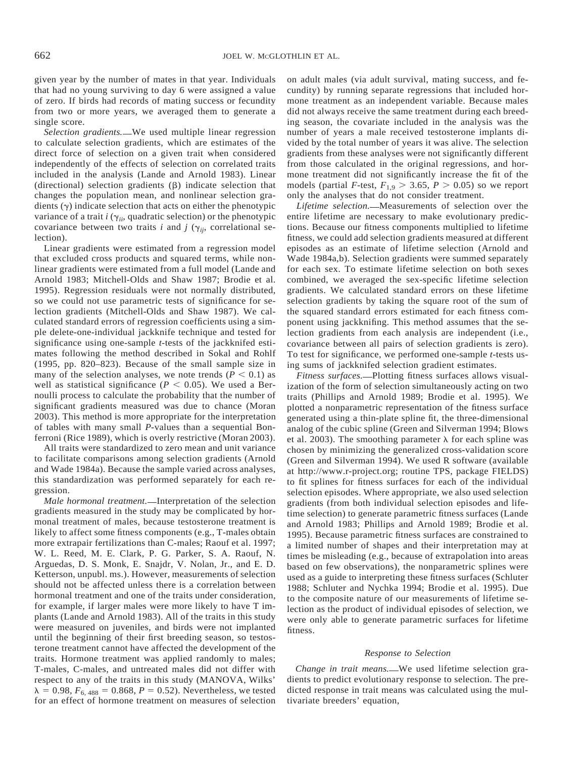given year by the number of mates in that year. Individuals that had no young surviving to day 6 were assigned a value of zero. If birds had records of mating success or fecundity from two or more years, we averaged them to generate a single score.

*Selection gradients.* We used multiple linear regression to calculate selection gradients, which are estimates of the direct force of selection on a given trait when considered independently of the effects of selection on correlated traits included in the analysis (Lande and Arnold 1983). Linear (directional) selection gradients  $(\beta)$  indicate selection that changes the population mean, and nonlinear selection gradients  $(y)$  indicate selection that acts on either the phenotypic variance of a trait  $i(\gamma_{ii},$  quadratic selection) or the phenotypic covariance between two traits *i* and *j* ( $\gamma_{ii}$ , correlational selection).

Linear gradients were estimated from a regression model that excluded cross products and squared terms, while nonlinear gradients were estimated from a full model (Lande and Arnold 1983; Mitchell-Olds and Shaw 1987; Brodie et al. 1995). Regression residuals were not normally distributed, so we could not use parametric tests of significance for selection gradients (Mitchell-Olds and Shaw 1987). We calculated standard errors of regression coefficients using a simple delete-one-individual jackknife technique and tested for significance using one-sample *t*-tests of the jackknifed estimates following the method described in Sokal and Rohlf (1995, pp. 820–823). Because of the small sample size in many of the selection analyses, we note trends  $(P < 0.1)$  as well as statistical significance ( $P < 0.05$ ). We used a Bernoulli process to calculate the probability that the number of significant gradients measured was due to chance (Moran 2003). This method is more appropriate for the interpretation of tables with many small *P*-values than a sequential Bonferroni (Rice 1989), which is overly restrictive (Moran 2003).

All traits were standardized to zero mean and unit variance to facilitate comparisons among selection gradients (Arnold and Wade 1984a). Because the sample varied across analyses, this standardization was performed separately for each regression.

*Male hormonal treatment.* Interpretation of the selection gradients measured in the study may be complicated by hormonal treatment of males, because testosterone treatment is likely to affect some fitness components (e.g., T-males obtain more extrapair fertilizations than C-males; Raouf et al. 1997; W. L. Reed, M. E. Clark, P. G. Parker, S. A. Raouf, N. Arguedas, D. S. Monk, E. Snajdr, V. Nolan, Jr., and E. D. Ketterson, unpubl. ms.). However, measurements of selection should not be affected unless there is a correlation between hormonal treatment and one of the traits under consideration, for example, if larger males were more likely to have T implants (Lande and Arnold 1983). All of the traits in this study were measured on juveniles, and birds were not implanted until the beginning of their first breeding season, so testosterone treatment cannot have affected the development of the traits. Hormone treatment was applied randomly to males; T-males, C-males, and untreated males did not differ with respect to any of the traits in this study (MANOVA, Wilks'  $\lambda = 0.98, F_{6, 488} = 0.868, P = 0.52$ . Nevertheless, we tested for an effect of hormone treatment on measures of selection

on adult males (via adult survival, mating success, and fecundity) by running separate regressions that included hormone treatment as an independent variable. Because males did not always receive the same treatment during each breeding season, the covariate included in the analysis was the number of years a male received testosterone implants divided by the total number of years it was alive. The selection gradients from these analyses were not significantly different from those calculated in the original regressions, and hormone treatment did not significantly increase the fit of the models (partial *F*-test,  $F_{1,9} > 3.65$ ,  $P > 0.05$ ) so we report only the analyses that do not consider treatment.

*Lifetime selection.* Measurements of selection over the entire lifetime are necessary to make evolutionary predictions. Because our fitness components multiplied to lifetime fitness, we could add selection gradients measured at different episodes as an estimate of lifetime selection (Arnold and Wade 1984a,b). Selection gradients were summed separately for each sex. To estimate lifetime selection on both sexes combined, we averaged the sex-specific lifetime selection gradients. We calculated standard errors on these lifetime selection gradients by taking the square root of the sum of the squared standard errors estimated for each fitness component using jackknifing. This method assumes that the selection gradients from each analysis are independent (i.e., covariance between all pairs of selection gradients is zero). To test for significance, we performed one-sample *t*-tests using sums of jackknifed selection gradient estimates.

*Fitness surfaces.*—Plotting fitness surfaces allows visualization of the form of selection simultaneously acting on two traits (Phillips and Arnold 1989; Brodie et al. 1995). We plotted a nonparametric representation of the fitness surface generated using a thin-plate spline fit, the three-dimensional analog of the cubic spline (Green and Silverman 1994; Blows et al. 2003). The smoothing parameter  $\lambda$  for each spline was chosen by minimizing the generalized cross-validation score (Green and Silverman 1994). We used R software (available at http://www.r-project.org; routine TPS, package FIELDS) to fit splines for fitness surfaces for each of the individual selection episodes. Where appropriate, we also used selection gradients (from both individual selection episodes and lifetime selection) to generate parametric fitness surfaces (Lande and Arnold 1983; Phillips and Arnold 1989; Brodie et al. 1995). Because parametric fitness surfaces are constrained to a limited number of shapes and their interpretation may at times be misleading (e.g., because of extrapolation into areas based on few observations), the nonparametric splines were used as a guide to interpreting these fitness surfaces (Schluter 1988; Schluter and Nychka 1994; Brodie et al. 1995). Due to the composite nature of our measurements of lifetime selection as the product of individual episodes of selection, we were only able to generate parametric surfaces for lifetime fitness.

## *Response to Selection*

*Change in trait means.* We used lifetime selection gradients to predict evolutionary response to selection. The predicted response in trait means was calculated using the multivariate breeders' equation,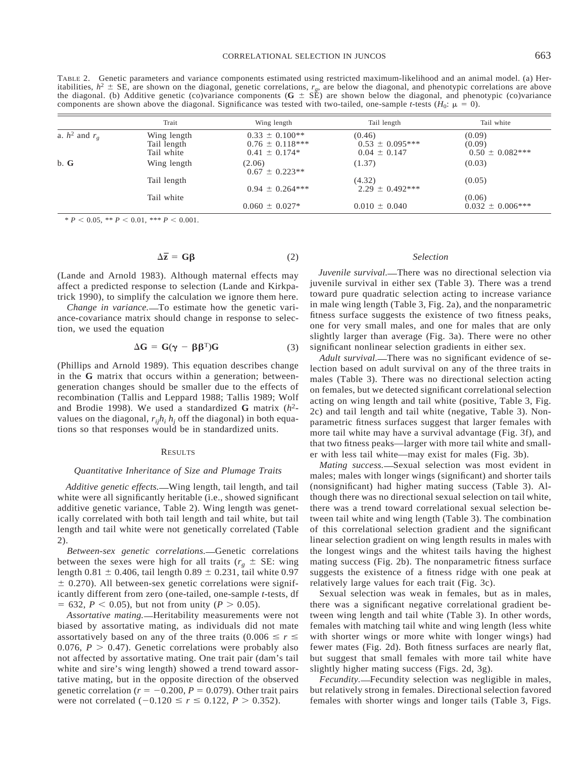TABLE 2. Genetic parameters and variance components estimated using restricted maximum-likelihood and an animal model. (a) Heritabilities,  $h^2 \pm SE$ , are shown on the diagonal, genetic correlations,  $r_g$ , are below the diagonal, and phenotypic correlations are above<br>the diagonal. (b) Additive genetic (co)variance components (G  $\pm$  SE) are shown

|                    | Trait       | Wing length                  | Tail length         | Tail white           |
|--------------------|-------------|------------------------------|---------------------|----------------------|
| a. $h^2$ and $r_g$ | Wing length | $0.33 \pm 0.100**$           | (0.46)              | (0.09)               |
|                    | Tail length | $0.76 \pm 0.118***$          | $0.53 \pm 0.095***$ | (0.09)               |
|                    | Tail white  | $0.41 \pm 0.174*$            | $0.04 \pm 0.147$    | $0.50 \pm 0.082***$  |
| b. G               | Wing length | (2.06)<br>$0.67 \pm 0.223**$ | (1.37)              | (0.03)               |
|                    | Tail length |                              | (4.32)              | (0.05)               |
|                    |             | $0.94 \pm 0.264***$          | $2.29 \pm 0.492***$ |                      |
|                    | Tail white  |                              |                     | (0.06)               |
|                    |             | $0.060 \pm 0.027$ *          | $0.010 \pm 0.040$   | $0.032 \pm 0.006***$ |

 $* P < 0.05, ** P < 0.01, ** P < 0.001.$ 

$$
\Delta \bar{z} = G\beta \tag{2}
$$

(Lande and Arnold 1983). Although maternal effects may affect a predicted response to selection (Lande and Kirkpatrick 1990), to simplify the calculation we ignore them here.

*Change in variance.* To estimate how the genetic variance-covariance matrix should change in response to selection, we used the equation

$$
\Delta G = G(\gamma - \beta \beta^{T})G \qquad (3)
$$

(Phillips and Arnold 1989). This equation describes change in the **G** matrix that occurs within a generation; betweengeneration changes should be smaller due to the effects of recombination (Tallis and Leppard 1988; Tallis 1989; Wolf and Brodie 1998). We used a standardized **G** matrix (*h*2 values on the diagonal,  $r_{ij}h_i h_j$  off the diagonal) in both equations so that responses would be in standardized units.

## **RESULTS**

#### *Quantitative Inheritance of Size and Plumage Traits*

*Additive genetic effects.* Wing length, tail length, and tail white were all significantly heritable (i.e., showed significant additive genetic variance, Table 2). Wing length was genetically correlated with both tail length and tail white, but tail length and tail white were not genetically correlated (Table 2).

*Between-sex genetic correlations.* Genetic correlations between the sexes were high for all traits ( $r_g \pm \text{SE}$ : wing length 0.81  $\pm$  0.406, tail length 0.89  $\pm$  0.231, tail white 0.97  $\pm$  0.270). All between-sex genetic correlations were significantly different from zero (one-tailed, one-sample *t*-tests, df  $= 632, P < 0.05$ , but not from unity (*P*  $> 0.05$ ).

Assortative mating.-Heritability measurements were not biased by assortative mating, as individuals did not mate assortatively based on any of the three traits  $(0.006 \le r \le$ 0.076,  $P > 0.47$ ). Genetic correlations were probably also not affected by assortative mating. One trait pair (dam's tail white and sire's wing length) showed a trend toward assortative mating, but in the opposite direction of the observed genetic correlation ( $r = -0.200$ ,  $P = 0.079$ ). Other trait pairs were not correlated  $(-0.120 \le r \le 0.122, P > 0.352)$ .

## *Selection*

*Juvenile survival.*—There was no directional selection via juvenile survival in either sex (Table 3). There was a trend toward pure quadratic selection acting to increase variance in male wing length (Table 3, Fig. 2a), and the nonparametric fitness surface suggests the existence of two fitness peaks, one for very small males, and one for males that are only slightly larger than average (Fig. 3a). There were no other significant nonlinear selection gradients in either sex.

Adult survival.—There was no significant evidence of selection based on adult survival on any of the three traits in males (Table 3). There was no directional selection acting on females, but we detected significant correlational selection acting on wing length and tail white (positive, Table 3, Fig. 2c) and tail length and tail white (negative, Table 3). Nonparametric fitness surfaces suggest that larger females with more tail white may have a survival advantage (Fig. 3f), and that two fitness peaks—larger with more tail white and smaller with less tail white—may exist for males (Fig. 3b).

*Mating success.*—Sexual selection was most evident in males; males with longer wings (significant) and shorter tails (nonsignificant) had higher mating success (Table 3). Although there was no directional sexual selection on tail white, there was a trend toward correlational sexual selection between tail white and wing length (Table 3). The combination of this correlational selection gradient and the significant linear selection gradient on wing length results in males with the longest wings and the whitest tails having the highest mating success (Fig. 2b). The nonparametric fitness surface suggests the existence of a fitness ridge with one peak at relatively large values for each trait (Fig. 3c).

Sexual selection was weak in females, but as in males, there was a significant negative correlational gradient between wing length and tail white (Table 3). In other words, females with matching tail white and wing length (less white with shorter wings or more white with longer wings) had fewer mates (Fig. 2d). Both fitness surfaces are nearly flat, but suggest that small females with more tail white have slightly higher mating success (Figs. 2d, 3g).

*Fecundity.* - Fecundity selection was negligible in males, but relatively strong in females. Directional selection favored females with shorter wings and longer tails (Table 3, Figs.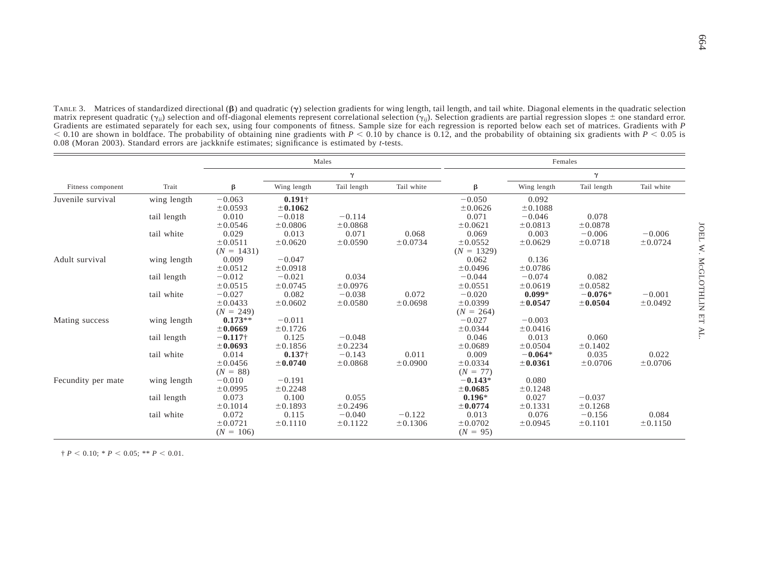TABLE 3. Matrices of standardized directional ( $\beta$ ) and quadratic ( $\gamma$ ) selection gradients for wing length, tail length, and tail white. Diagonal elements in the quadratic selection matrix represent quadratic ( $\gamma_{ii}$ ) selection and off-diagonal elements represent correlational selection ( $\gamma_{ij}$ ). Selection gradients are partial regression slopes  $\pm$  one standard error. Gradients are estimated separately for each sex, using four components of fitness. Sample size for each regression is reported below each set of matrices. Gradients with *P*  $<$  0.10 are shown in boldface. The probability of obtaining nine gradients with *P*  $<$  0.10 by chance is 0.12, and the probability of obtaining six gradients with *P*  $<$  0.05 is 0.08 (Moran 2003). Standard errors are jackknife estimates; significance is estimated by *<sup>t</sup>*-tests.

|                    |             |              |                | Males       |            |              | Females     |             |            |
|--------------------|-------------|--------------|----------------|-------------|------------|--------------|-------------|-------------|------------|
|                    |             |              |                | $\gamma$    |            |              |             | $\gamma$    |            |
| Fitness component  | Trait       | β            | Wing length    | Tail length | Tail white | β            | Wing length | Tail length | Tail white |
| Juvenile survival  | wing length | $-0.063$     | $0.191\dagger$ |             |            | $-0.050$     | 0.092       |             |            |
|                    |             | ±0.0593      | ± 0.1062       |             |            | ±0.0626      | ±0.1088     |             |            |
|                    | tail length | 0.010        | $-0.018$       | $-0.114$    |            | 0.071        | $-0.046$    | 0.078       |            |
|                    |             | ±0.0546      | ±0.0806        | ±0.0868     |            | ±0.0621      | ±0.0813     | ±0.0878     |            |
|                    | tail white  | 0.029        | 0.013          | 0.071       | 0.068      | 0.069        | 0.003       | $-0.006$    | $-0.006$   |
|                    |             | ±0.0511      | ±0.0620        | ±0.0590     | ±0.0734    | ±0.0552      | ±0.0629     | ±0.0718     | ±0.0724    |
|                    |             | $(N = 1431)$ |                |             |            | $(N = 1329)$ |             |             |            |
| Adult survival     | wing length | 0.009        | $-0.047$       |             |            | 0.062        | 0.136       |             |            |
|                    |             | ±0.0512      | ±0.0918        |             |            | ±0.0496      | ±0.0786     |             |            |
|                    | tail length | $-0.012$     | $-0.021$       | 0.034       |            | $-0.044$     | $-0.074$    | 0.082       |            |
|                    |             | ±0.0515      | ±0.0745        | ±0.0976     |            | ±0.0551      | ±0.0619     | ±0.0582     |            |
|                    | tail white  | $-0.027$     | 0.082          | $-0.038$    | 0.072      | $-0.020$     | $0.099*$    | $-0.076*$   | $-0.001$   |
|                    |             | ±0.0433      | ±0.0602        | ±0.0580     | ±0.0698    | ±0.0399      | ± 0.0547    | ± 0.0504    | ±0.0492    |
|                    |             | $(N = 249)$  |                |             |            | $(N = 264)$  |             |             |            |
| Mating success     | wing length | $0.173**$    | $-0.011$       |             |            | $-0.027$     | $-0.003$    |             |            |
|                    |             | ± 0.0669     | ±0.1726        |             |            | ±0.0344      | ±0.0416     |             |            |
|                    | tail length | $-0.117$ †   | 0.125          | $-0.048$    |            | 0.046        | 0.013       | 0.060       |            |
|                    |             | ± 0.0693     | ±0.1856        | ±0.2234     |            | ±0.0689      | ±0.0504     | ± 0.1402    |            |
|                    | tail white  | 0.014        | $0.137\dagger$ | $-0.143$    | 0.011      | 0.009        | $-0.064*$   | 0.035       | 0.022      |
|                    |             | ±0.0456      | ± 0.0740       | ±0.0868     | ±0.0900    | ±0.0334      | ± 0.0361    | ±0.0706     | ±0.0706    |
|                    |             | $(N = 88)$   |                |             |            | $(N = 77)$   |             |             |            |
| Fecundity per mate | wing length | $-0.010$     | $-0.191$       |             |            | $-0.143*$    | 0.080       |             |            |
|                    |             | ±0.0995      | ±0.2248        |             |            | ±0.0685      | ±0.1248     |             |            |
|                    | tail length | 0.073        | 0.100          | 0.055       |            | $0.196*$     | 0.027       | $-0.037$    |            |
|                    |             | ± 0.1014     | ±0.1893        | ±0.2496     |            | ± 0.0774     | ±0.1331     | ±0.1268     |            |
|                    | tail white  | 0.072        | 0.115          | $-0.040$    | $-0.122$   | 0.013        | 0.076       | $-0.156$    | 0.084      |
|                    |             | ±0.0721      | ± 0.1110       | ±0.1122     | ±0.1306    | ±0.0702      | ±0.0945     | ± 0.1101    | ±0.1150    |
|                    |             | $(N = 106)$  |                |             |            | $(N = 95)$   |             |             |            |

 $\uparrow$  *P* < 0.10; \* *P* < 0.05; \*\* *P* < 0.01.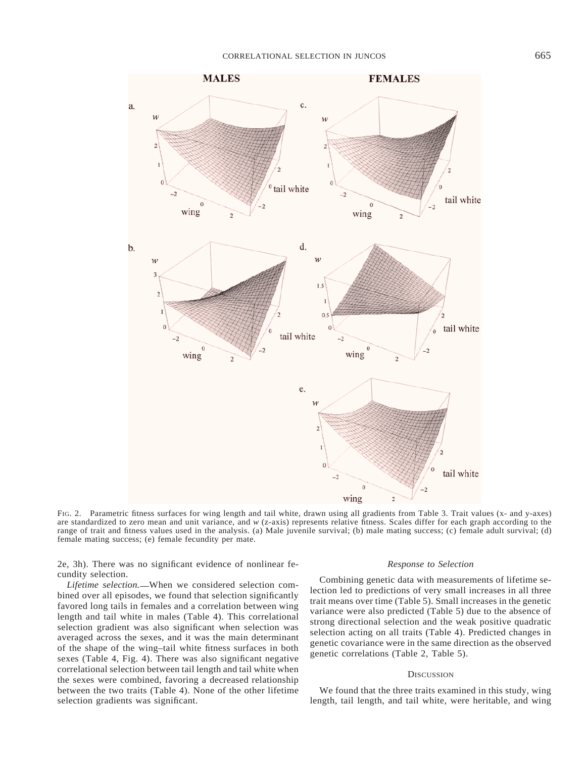

FIG. 2. Parametric fitness surfaces for wing length and tail white, drawn using all gradients from Table 3. Trait values (x- and y-axes) are standardized to zero mean and unit variance, and *w* (z-axis) represents relative fitness. Scales differ for each graph according to the range of trait and fitness values used in the analysis. (a) Male juvenile survival; (b) male mating success; (c) female adult survival; (d) female mating success; (e) female fecundity per mate.

2e, 3h). There was no significant evidence of nonlinear fecundity selection.

*Lifetime selection.* When we considered selection combined over all episodes, we found that selection significantly favored long tails in females and a correlation between wing length and tail white in males (Table 4). This correlational selection gradient was also significant when selection was averaged across the sexes, and it was the main determinant of the shape of the wing–tail white fitness surfaces in both sexes (Table 4, Fig. 4). There was also significant negative correlational selection between tail length and tail white when the sexes were combined, favoring a decreased relationship between the two traits (Table 4). None of the other lifetime selection gradients was significant.

#### *Response to Selection*

Combining genetic data with measurements of lifetime selection led to predictions of very small increases in all three trait means over time (Table 5). Small increases in the genetic variance were also predicted (Table 5) due to the absence of strong directional selection and the weak positive quadratic selection acting on all traits (Table 4). Predicted changes in genetic covariance were in the same direction as the observed genetic correlations (Table 2, Table 5).

## **DISCUSSION**

We found that the three traits examined in this study, wing length, tail length, and tail white, were heritable, and wing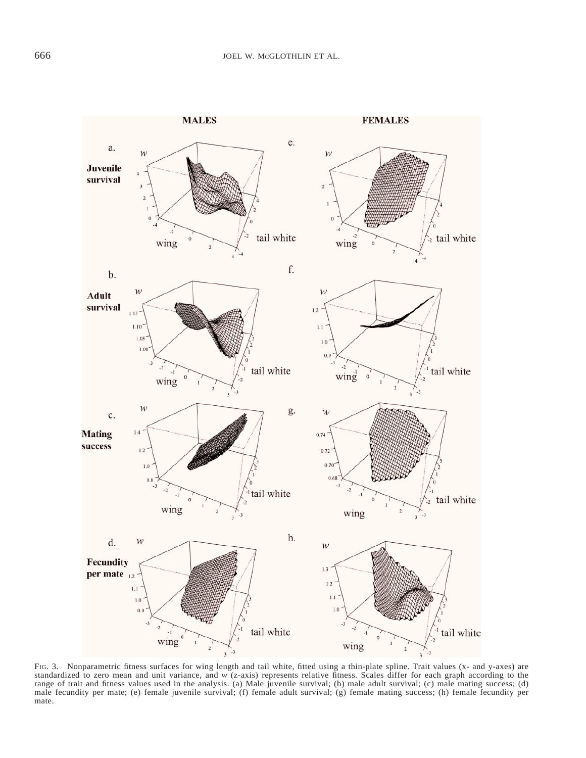

FIG. 3. Nonparametric fitness surfaces for wing length and tail white, fitted using a thin-plate spline. Trait values (x- and y-axes) are standardized to zero mean and unit variance, and *w* (z-axis) represents relative fitness. Scales differ for each graph according to the range of trait and fitness values used in the analysis. (a) Male juvenile survival; (b) male adult survival; (c) male mating success; (d) male fecundity per mate; (e) female juvenile survival; (f) female adult survival; (g) female mating success; (h) female fecundity per mate.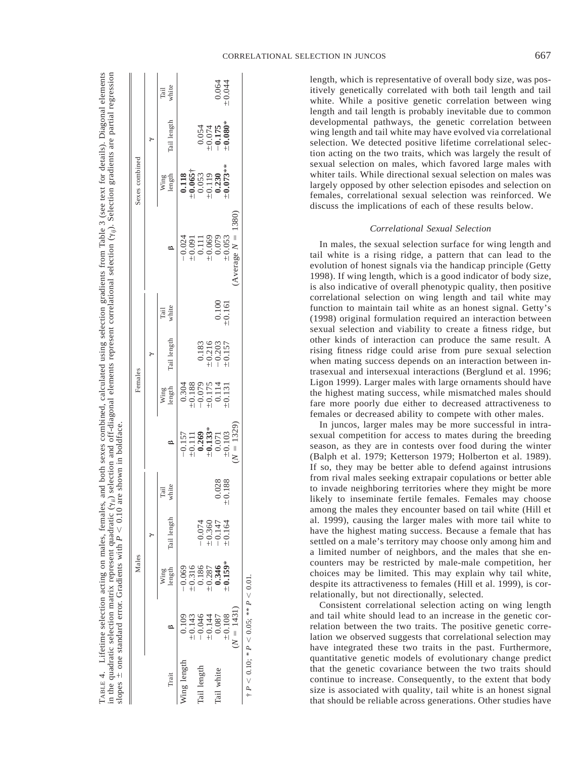| slopes $\pm$ one standard error. Gradients with $P < 0.10$ are |                                              | Males          |                      |               |                                                            | Females                                                                                                   |                                              |                     |                                                                      | Sexes combined                                                       |                                              |                      |
|----------------------------------------------------------------|----------------------------------------------|----------------|----------------------|---------------|------------------------------------------------------------|-----------------------------------------------------------------------------------------------------------|----------------------------------------------|---------------------|----------------------------------------------------------------------|----------------------------------------------------------------------|----------------------------------------------|----------------------|
|                                                                |                                              |                |                      |               |                                                            |                                                                                                           | 2                                            |                     |                                                                      |                                                                      | 2                                            |                      |
| Trait                                                          |                                              | length<br>Wing | Tail length          | white<br>Tail |                                                            | Wing<br>length                                                                                            | Tail length                                  | white<br>Tail       |                                                                      | Wing<br>length                                                       | Tail length                                  | white<br>Tail        |
| <i>ling</i> length                                             | 0.109                                        | $-0.069$       |                      |               |                                                            |                                                                                                           |                                              |                     |                                                                      |                                                                      |                                              |                      |
|                                                                | ± 0.143                                      | $-0.316$       |                      |               |                                                            |                                                                                                           |                                              |                     |                                                                      |                                                                      |                                              |                      |
| Tail length                                                    | $-0.046$                                     | 0.186          | 0.074                |               |                                                            |                                                                                                           |                                              |                     |                                                                      |                                                                      |                                              |                      |
|                                                                | ± 0.144                                      | $-0.287$       |                      |               |                                                            |                                                                                                           |                                              |                     |                                                                      |                                                                      |                                              |                      |
| Tail white                                                     | 0.087                                        | 0.346          | $^{+0.360}_{-0.147}$ | 0.028         | $-0.157$<br>$+0.111$<br>$+0.269$<br>$+0.133$ *<br>$+0.071$ | $\begin{array}{r} 0.304 \\ + 0.188 \\ - 0.079 \\ - 0.175 \\ - 0.114 \\ - 0.114 \\ - 0.131 \\ \end{array}$ | $-0.183$<br>$+0.216$<br>$-0.203$<br>$+0.157$ |                     | $-0.024$<br>$-0.050$<br>$+0.050$<br>$+0.050$<br>$+0.053$<br>$+0.053$ |                                                                      | $^{+0.054}_{-0.074}$<br>$^{+0.074}_{-0.175}$ |                      |
|                                                                | ±0.108                                       | $-0.159*$      | $-0.164$             | ±0.188        | ±0.103                                                     |                                                                                                           |                                              | $0.100$<br>$+0.161$ |                                                                      | $+118$<br>$+0.065$<br>$+0.053$<br>$+0.230$<br>$+0.230$<br>$+0.073**$ |                                              | $^{+0.064}_{+0.044}$ |
|                                                                | $(N = 1431)$                                 |                |                      |               | $(N = 1329)$                                               |                                                                                                           |                                              |                     | Average $N = 1380$                                                   |                                                                      |                                              |                      |
|                                                                | $+ P < 0.10$ ; $* P < 0.05$ ; $* P < 0.01$ . |                |                      |               |                                                            |                                                                                                           |                                              |                     |                                                                      |                                                                      |                                              |                      |

TABLE 4. Lifetime selection acting on males, females, and both sexes combined, calculated using selection gradients from Table 3 (see text for details). Diagonal elements

length, which is representative of overall body size, was positively genetically correlated with both tail length and tail white. While a positive genetic correlation between wing length and tail length is probably inevitable due to common developmental pathways, the genetic correlation between wing length and tail white may have evolved via correlational selection. We detected positive lifetime correlational selection acting on the two traits, which was largely the result of sexual selection on males, which favored large males with whiter tails. While directional sexual selection on males was largely opposed by other selection episodes and selection on females, correlational sexual selection was reinforced. We discuss the implications of each of these results below.

## *Correlational Sexual Selection*

In males, the sexual selection surface for wing length and tail white is a rising ridge, a pattern that can lead to the evolution of honest signals via the handicap principle (Getty 1998). If wing length, which is a good indicator of body size, is also indicative of overall phenotypic quality, then positive correlational selection on wing length and tail white may function to maintain tail white as an honest signal. Getty's (1998) original formulation required an interaction between sexual selection and viability to create a fitness ridge, but other kinds of interaction can produce the same result. A rising fitness ridge could arise from pure sexual selection when mating success depends on an interaction between intrasexual and intersexual interactions (Berglund et al. 1996; Ligon 1999). Larger males with large ornaments should have the highest mating success, while mismatched males should fare more poorly due either to decreased attractiveness to females or decreased ability to compete with other males.

In juncos, larger males may be more successful in intrasexual competition for access to mates during the breeding season, as they are in contests over food during the winter (Balph et al. 1979; Ketterson 1979; Holberton et al. 1989). If so, they may be better able to defend against intrusions from rival males seeking extrapair copulations or better able to invade neighboring territories where they might be more likely to inseminate fertile females. Females may choose among the males they encounter based on tail white (Hill et al. 1999), causing the larger males with more tail white to have the highest mating success. Because a female that has settled on a male's territory may choose only among him and a limited number of neighbors, and the males that she encounters may be restricted by male-male competition, her choices may be limited. This may explain why tail white, despite its attractiveness to females (Hill et al. 1999), is correlationally, but not directionally, selected.

Consistent correlational selection acting on wing length and tail white should lead to an increase in the genetic correlation between the two traits. The positive genetic correlation we observed suggests that correlational selection may have integrated these two traits in the past. Furthermore, quantitative genetic models of evolutionary change predict that the genetic covariance between the two traits should continue to increase. Consequently, to the extent that body size is associated with quality, tail white is an honest signal that should be reliable across generations. Other studies have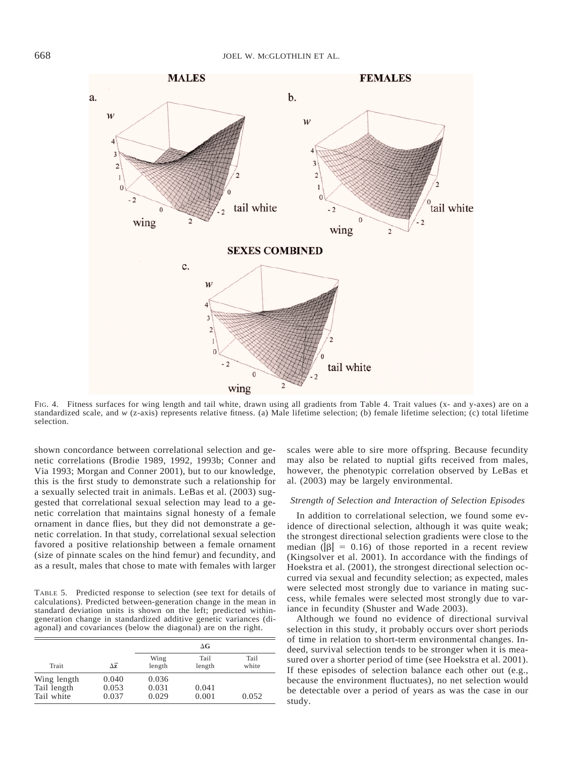

FIG. 4. Fitness surfaces for wing length and tail white, drawn using all gradients from Table 4. Trait values (x- and y-axes) are on a standardized scale, and *w* (z-axis) represents relative fitness. (a) Male lifetime selection; (b) female lifetime selection; (c) total lifetime selection.

shown concordance between correlational selection and genetic correlations (Brodie 1989, 1992, 1993b; Conner and Via 1993; Morgan and Conner 2001), but to our knowledge, this is the first study to demonstrate such a relationship for a sexually selected trait in animals. LeBas et al. (2003) suggested that correlational sexual selection may lead to a genetic correlation that maintains signal honesty of a female ornament in dance flies, but they did not demonstrate a genetic correlation. In that study, correlational sexual selection favored a positive relationship between a female ornament (size of pinnate scales on the hind femur) and fecundity, and as a result, males that chose to mate with females with larger

TABLE 5. Predicted response to selection (see text for details of calculations). Predicted between-generation change in the mean in standard deviation units is shown on the left; predicted withingeneration change in standardized additive genetic variances (diagonal) and covariances (below the diagonal) are on the right.

|                                          |                         |                         | $\Delta G$     |               |
|------------------------------------------|-------------------------|-------------------------|----------------|---------------|
| Trait                                    | Δž                      | Wing<br>length          | Tail<br>length | Tail<br>white |
| Wing length<br>Tail length<br>Tail white | 0.040<br>0.053<br>0.037 | 0.036<br>0.031<br>0.029 | 0.041<br>0.001 | 0.052         |

scales were able to sire more offspring. Because fecundity may also be related to nuptial gifts received from males, however, the phenotypic correlation observed by LeBas et al. (2003) may be largely environmental.

## *Strength of Selection and Interaction of Selection Episodes*

In addition to correlational selection, we found some evidence of directional selection, although it was quite weak; the strongest directional selection gradients were close to the median ( $|\beta| = 0.16$ ) of those reported in a recent review (Kingsolver et al. 2001). In accordance with the findings of Hoekstra et al. (2001), the strongest directional selection occurred via sexual and fecundity selection; as expected, males were selected most strongly due to variance in mating success, while females were selected most strongly due to variance in fecundity (Shuster and Wade 2003).

Although we found no evidence of directional survival selection in this study, it probably occurs over short periods of time in relation to short-term environmental changes. Indeed, survival selection tends to be stronger when it is measured over a shorter period of time (see Hoekstra et al. 2001). If these episodes of selection balance each other out (e.g., because the environment fluctuates), no net selection would be detectable over a period of years as was the case in our study.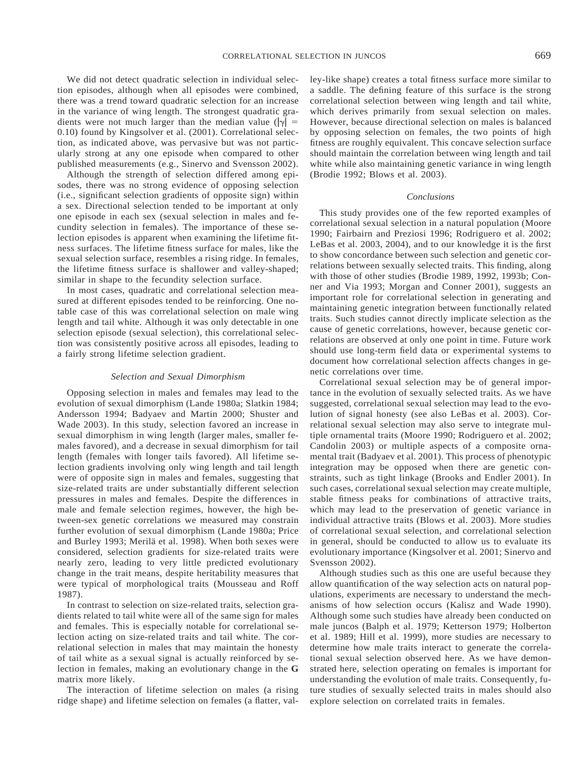We did not detect quadratic selection in individual selection episodes, although when all episodes were combined, there was a trend toward quadratic selection for an increase in the variance of wing length. The strongest quadratic gradients were not much larger than the median value ( $|\gamma|$  = 0.10) found by Kingsolver et al. (2001). Correlational selection, as indicated above, was pervasive but was not particularly strong at any one episode when compared to other published measurements (e.g., Sinervo and Svensson 2002).

Although the strength of selection differed among episodes, there was no strong evidence of opposing selection (i.e., significant selection gradients of opposite sign) within a sex. Directional selection tended to be important at only one episode in each sex (sexual selection in males and fecundity selection in females). The importance of these selection episodes is apparent when examining the lifetime fitness surfaces. The lifetime fitness surface for males, like the sexual selection surface, resembles a rising ridge. In females, the lifetime fitness surface is shallower and valley-shaped; similar in shape to the fecundity selection surface.

In most cases, quadratic and correlational selection measured at different episodes tended to be reinforcing. One notable case of this was correlational selection on male wing length and tail white. Although it was only detectable in one selection episode (sexual selection), this correlational selection was consistently positive across all episodes, leading to a fairly strong lifetime selection gradient.

#### *Selection and Sexual Dimorphism*

Opposing selection in males and females may lead to the evolution of sexual dimorphism (Lande 1980a; Slatkin 1984; Andersson 1994; Badyaev and Martin 2000; Shuster and Wade 2003). In this study, selection favored an increase in sexual dimorphism in wing length (larger males, smaller females favored), and a decrease in sexual dimorphism for tail length (females with longer tails favored). All lifetime selection gradients involving only wing length and tail length were of opposite sign in males and females, suggesting that size-related traits are under substantially different selection pressures in males and females. Despite the differences in male and female selection regimes, however, the high between-sex genetic correlations we measured may constrain further evolution of sexual dimorphism (Lande 1980a; Price and Burley 1993; Merilä et al. 1998). When both sexes were considered, selection gradients for size-related traits were nearly zero, leading to very little predicted evolutionary change in the trait means, despite heritability measures that were typical of morphological traits (Mousseau and Roff 1987).

In contrast to selection on size-related traits, selection gradients related to tail white were all of the same sign for males and females. This is especially notable for correlational selection acting on size-related traits and tail white. The correlational selection in males that may maintain the honesty of tail white as a sexual signal is actually reinforced by selection in females, making an evolutionary change in the **G** matrix more likely.

The interaction of lifetime selection on males (a rising ridge shape) and lifetime selection on females (a flatter, valley-like shape) creates a total fitness surface more similar to a saddle. The defining feature of this surface is the strong correlational selection between wing length and tail white, which derives primarily from sexual selection on males. However, because directional selection on males is balanced by opposing selection on females, the two points of high fitness are roughly equivalent. This concave selection surface should maintain the correlation between wing length and tail white while also maintaining genetic variance in wing length (Brodie 1992; Blows et al. 2003).

## *Conclusions*

This study provides one of the few reported examples of correlational sexual selection in a natural population (Moore 1990; Fairbairn and Preziosi 1996; Rodriguero et al. 2002; LeBas et al. 2003, 2004), and to our knowledge it is the first to show concordance between such selection and genetic correlations between sexually selected traits. This finding, along with those of other studies (Brodie 1989, 1992, 1993b; Conner and Via 1993; Morgan and Conner 2001), suggests an important role for correlational selection in generating and maintaining genetic integration between functionally related traits. Such studies cannot directly implicate selection as the cause of genetic correlations, however, because genetic correlations are observed at only one point in time. Future work should use long-term field data or experimental systems to document how correlational selection affects changes in genetic correlations over time.

Correlational sexual selection may be of general importance in the evolution of sexually selected traits. As we have suggested, correlational sexual selection may lead to the evolution of signal honesty (see also LeBas et al. 2003). Correlational sexual selection may also serve to integrate multiple ornamental traits (Moore 1990; Rodriguero et al. 2002; Candolin 2003) or multiple aspects of a composite ornamental trait (Badyaev et al. 2001). This process of phenotypic integration may be opposed when there are genetic constraints, such as tight linkage (Brooks and Endler 2001). In such cases, correlational sexual selection may create multiple, stable fitness peaks for combinations of attractive traits, which may lead to the preservation of genetic variance in individual attractive traits (Blows et al. 2003). More studies of correlational sexual selection, and correlational selection in general, should be conducted to allow us to evaluate its evolutionary importance (Kingsolver et al. 2001; Sinervo and Svensson 2002).

Although studies such as this one are useful because they allow quantification of the way selection acts on natural populations, experiments are necessary to understand the mechanisms of how selection occurs (Kalisz and Wade 1990). Although some such studies have already been conducted on male juncos (Balph et al. 1979; Ketterson 1979; Holberton et al. 1989; Hill et al. 1999), more studies are necessary to determine how male traits interact to generate the correlational sexual selection observed here. As we have demonstrated here, selection operating on females is important for understanding the evolution of male traits. Consequently, future studies of sexually selected traits in males should also explore selection on correlated traits in females.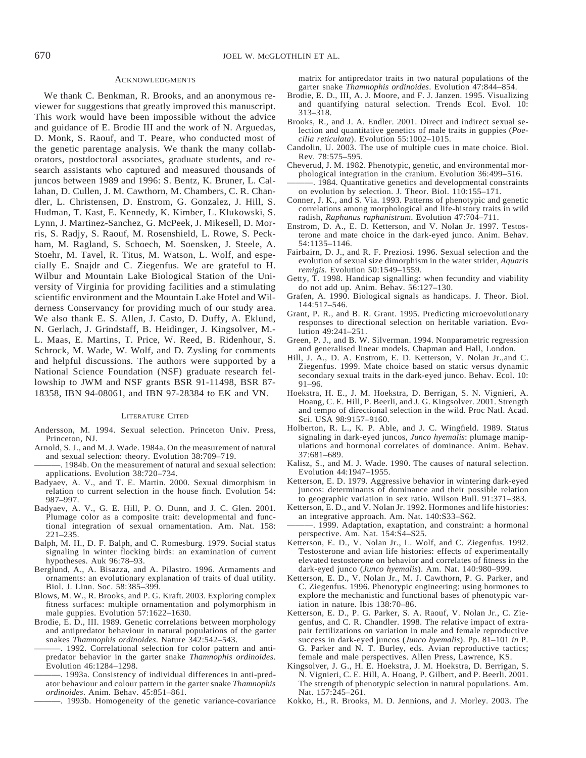#### **ACKNOWLEDGMENTS**

We thank C. Benkman, R. Brooks, and an anonymous reviewer for suggestions that greatly improved this manuscript. This work would have been impossible without the advice and guidance of E. Brodie III and the work of N. Arguedas, D. Monk, S. Raouf, and T. Peare, who conducted most of the genetic parentage analysis. We thank the many collaborators, postdoctoral associates, graduate students, and research assistants who captured and measured thousands of juncos between 1989 and 1996: S. Bentz, K. Bruner, L. Callahan, D. Cullen, J. M. Cawthorn, M. Chambers, C. R. Chandler, L. Christensen, D. Enstrom, G. Gonzalez, J. Hill, S. Hudman, T. Kast, E. Kennedy, K. Kimber, L. Klukowski, S. Lynn, J. Martinez-Sanchez, G. McPeek, J. Mikesell, D. Morris, S. Radjy, S. Raouf, M. Rosenshield, L. Rowe, S. Peckham, M. Ragland, S. Schoech, M. Soensken, J. Steele, A. Stoehr, M. Tavel, R. Titus, M. Watson, L. Wolf, and especially E. Snajdr and C. Ziegenfus. We are grateful to H. Wilbur and Mountain Lake Biological Station of the University of Virginia for providing facilities and a stimulating scientific environment and the Mountain Lake Hotel and Wilderness Conservancy for providing much of our study area. We also thank E. S. Allen, J. Casto, D. Duffy, A. Eklund, N. Gerlach, J. Grindstaff, B. Heidinger, J. Kingsolver, M.- L. Maas, E. Martins, T. Price, W. Reed, B. Ridenhour, S. Schrock, M. Wade, W. Wolf, and D. Zysling for comments and helpful discussions. The authors were supported by a National Science Foundation (NSF) graduate research fellowship to JWM and NSF grants BSR 91-11498, BSR 87- 18358, IBN 94-08061, and IBN 97-28384 to EK and VN.

#### LITERATURE CITED

- Andersson, M. 1994. Sexual selection. Princeton Univ. Press, Princeton, NJ.
- Arnold, S. J., and M. J. Wade. 1984a. On the measurement of natural and sexual selection: theory. Evolution 38:709–719.
- . 1984b. On the measurement of natural and sexual selection: applications. Evolution 38:720–734.
- Badyaev, A. V., and T. E. Martin. 2000. Sexual dimorphism in relation to current selection in the house finch. Evolution 54: 987–997.
- Badyaev, A. V., G. E. Hill, P. O. Dunn, and J. C. Glen. 2001. Plumage color as a composite trait: developmental and functional integration of sexual ornamentation. Am. Nat. 158: 221–235.
- Balph, M. H., D. F. Balph, and C. Romesburg. 1979. Social status signaling in winter flocking birds: an examination of current hypotheses. Auk 96:78–93.
- Berglund, A., A. Bisazza, and A. Pilastro. 1996. Armaments and ornaments: an evolutionary explanation of traits of dual utility. Biol. J. Linn. Soc. 58:385–399.
- Blows, M. W., R. Brooks, and P. G. Kraft. 2003. Exploring complex fitness surfaces: multiple ornamentation and polymorphism in male guppies. Evolution 57:1622–1630.
- Brodie, E. D., III. 1989. Genetic correlations between morphology and antipredator behaviour in natural populations of the garter snakes *Thamnophis ordinoides*. Nature 342:542–543.
- . 1992. Correlational selection for color pattern and antipredator behavior in the garter snake *Thamnophis ordinoides*. Evolution 46:1284–1298.

. 1993a. Consistency of individual differences in anti-predator behaviour and colour pattern in the garter snake *Thamnophis ordinoides*. Anim. Behav. 45:851–861.

———. 1993b. Homogeneity of the genetic variance-covariance

matrix for antipredator traits in two natural populations of the garter snake *Thamnophis ordinoides*. Evolution 47:844–854.

- Brodie, E. D., III, A. J. Moore, and F. J. Janzen. 1995. Visualizing and quantifying natural selection. Trends Ecol. Evol. 10: 313–318.
- Brooks, R., and J. A. Endler. 2001. Direct and indirect sexual selection and quantitative genetics of male traits in guppies (*Poecilia reticulata*). Evolution 55:1002–1015.
- Candolin, U. 2003. The use of multiple cues in mate choice. Biol. Rev. 78:575–595.
- Cheverud, J. M. 1982. Phenotypic, genetic, and environmental morphological integration in the cranium. Evolution 36:499–516. -. 1984. Quantitative genetics and developmental constraints
- on evolution by selection. J. Theor. Biol. 110:155–171. Conner, J. K., and S. Via. 1993. Patterns of phenotypic and genetic
- correlations among morphological and life-history traits in wild radish, *Raphanus raphanistrum*. Evolution 47:704–711.
- Enstrom, D. A., E. D. Ketterson, and V. Nolan Jr. 1997. Testosterone and mate choice in the dark-eyed junco. Anim. Behav. 54:1135–1146.
- Fairbairn, D. J., and R. F. Preziosi. 1996. Sexual selection and the evolution of sexual size dimorphism in the water strider, *Aquaris remigis*. Evolution 50:1549–1559.
- Getty, T. 1998. Handicap signalling: when fecundity and viability do not add up. Anim. Behav. 56:127–130.
- Grafen, A. 1990. Biological signals as handicaps. J. Theor. Biol. 144:517–546.
- Grant, P. R., and B. R. Grant. 1995. Predicting microevolutionary responses to directional selection on heritable variation. Evolution 49:241–251.
- Green, P. J., and B. W. Silverman. 1994. Nonparametric regression and generalised linear models. Chapman and Hall, London.
- Hill, J. A., D. A. Enstrom, E. D. Ketterson, V. Nolan Jr.,and C. Ziegenfus. 1999. Mate choice based on static versus dynamic secondary sexual traits in the dark-eyed junco. Behav. Ecol. 10: 91–96.
- Hoekstra, H. E., J. M. Hoekstra, D. Berrigan, S. N. Vignieri, A. Hoang, C. E. Hill, P. Beerli, and J. G. Kingsolver. 2001. Strength and tempo of directional selection in the wild. Proc Natl. Acad. Sci. USA 98:9157–9160.
- Holberton, R. L., K. P. Able, and J. C. Wingfield. 1989. Status signaling in dark-eyed juncos, *Junco hyemalis*: plumage manipulations and hormonal correlates of dominance. Anim. Behav. 37:681–689.
- Kalisz, S., and M. J. Wade. 1990. The causes of natural selection. Evolution 44:1947–1955.
- Ketterson, E. D. 1979. Aggressive behavior in wintering dark-eyed juncos: determinants of dominance and their possible relation to geographic variation in sex ratio. Wilson Bull. 91:371–383.
- Ketterson, E. D., and V. Nolan Jr. 1992. Hormones and life histories: an integrative approach. Am. Nat. 140:S33–S62.
- ———. 1999. Adaptation, exaptation, and constraint: a hormonal perspective. Am. Nat. 154:S4–S25.
- Ketterson, E. D., V. Nolan Jr., L. Wolf, and C. Ziegenfus. 1992. Testosterone and avian life histories: effects of experimentally elevated testosterone on behavior and correlates of fitness in the dark-eyed junco (*Junco hyemalis*). Am. Nat. 140:980–999.
- Ketterson, E. D., V. Nolan Jr., M. J. Cawthorn, P. G. Parker, and C. Ziegenfus. 1996. Phenotypic engineering: using hormones to explore the mechanistic and functional bases of phenotypic variation in nature. Ibis 138:70–86.
- Ketterson, E. D., P. G. Parker, S. A. Raouf, V. Nolan Jr., C. Ziegenfus, and C. R. Chandler. 1998. The relative impact of extrapair fertilizations on variation in male and female reproductive success in dark-eyed juncos (*Junco hyemalis*). Pp. 81–101 *in* P. G. Parker and N. T. Burley, eds. Avian reproductive tactics; female and male perspectives. Allen Press, Lawrence, KS.
- Kingsolver, J. G., H. E. Hoekstra, J. M. Hoekstra, D. Berrigan, S. N. Vignieri, C. E. Hill, A. Hoang, P. Gilbert, and P. Beerli. 2001. The strength of phenotypic selection in natural populations. Am. Nat. 157:245–261.
- Kokko, H., R. Brooks, M. D. Jennions, and J. Morley. 2003. The